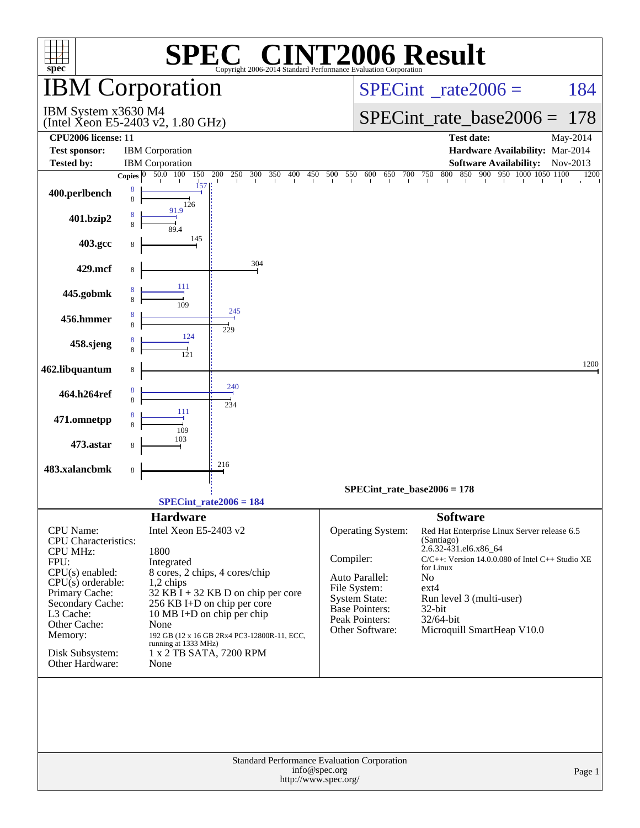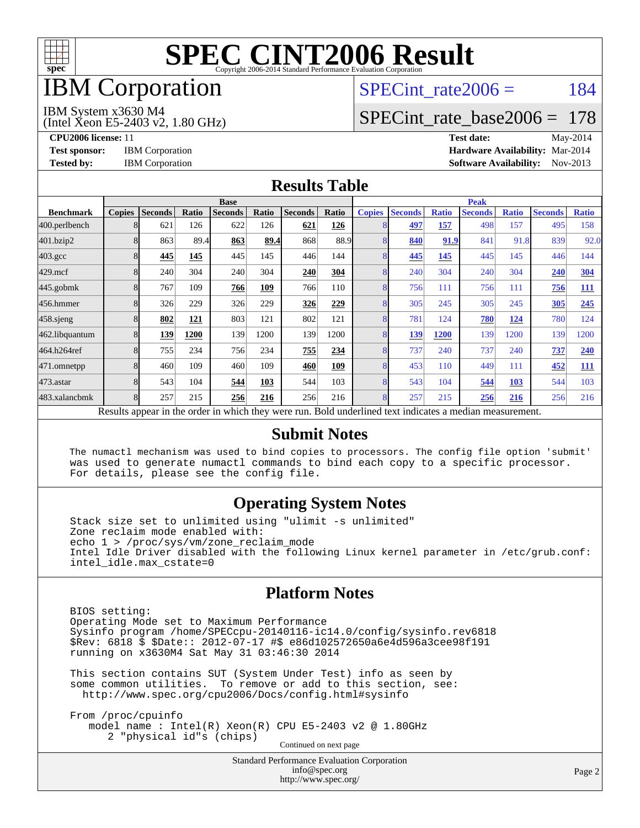

## IBM Corporation

# SPECint rate $2006 = 184$

#### IBM System x3630 M4

(Intel Xeon E5-2403 v2, 1.80 GHz)

[SPECint\\_rate\\_base2006 =](http://www.spec.org/auto/cpu2006/Docs/result-fields.html#SPECintratebase2006) 178

**[CPU2006 license:](http://www.spec.org/auto/cpu2006/Docs/result-fields.html#CPU2006license)** 11 **[Test date:](http://www.spec.org/auto/cpu2006/Docs/result-fields.html#Testdate)** May-2014 **[Test sponsor:](http://www.spec.org/auto/cpu2006/Docs/result-fields.html#Testsponsor)** IBM Corporation **[Hardware Availability:](http://www.spec.org/auto/cpu2006/Docs/result-fields.html#HardwareAvailability)** Mar-2014 **[Tested by:](http://www.spec.org/auto/cpu2006/Docs/result-fields.html#Testedby)** IBM Corporation **[Software Availability:](http://www.spec.org/auto/cpu2006/Docs/result-fields.html#SoftwareAvailability)** Nov-2013

#### **[Results Table](http://www.spec.org/auto/cpu2006/Docs/result-fields.html#ResultsTable)**

|                    | <b>Base</b>   |                |              |                                                                                                          |       |                |       | <b>Peak</b>   |                |              |                |              |                |              |
|--------------------|---------------|----------------|--------------|----------------------------------------------------------------------------------------------------------|-------|----------------|-------|---------------|----------------|--------------|----------------|--------------|----------------|--------------|
| <b>Benchmark</b>   | <b>Copies</b> | <b>Seconds</b> | <b>Ratio</b> | <b>Seconds</b>                                                                                           | Ratio | <b>Seconds</b> | Ratio | <b>Copies</b> | <b>Seconds</b> | <b>Ratio</b> | <b>Seconds</b> | <b>Ratio</b> | <b>Seconds</b> | <b>Ratio</b> |
| 400.perlbench      |               | 621            | 126          | 622                                                                                                      | 126   | 621            | 126   | 8             | 497            | 157          | 498            | 157          | 495            | 158          |
| 401.bzip2          |               | 863            | 89.4         | 863                                                                                                      | 89.4  | 868            | 88.9  | 8             | 840            | 91.9         | 841            | 91.8         | 839            | 92.0         |
| $403.\mathrm{gcc}$ |               | 445            | 145          | 445                                                                                                      | 145   | 446            | 144   | 8             | 445            | 145          | 445            | 145          | 446            | 144          |
| $429$ .mcf         |               | 240            | 304          | 240                                                                                                      | 304   | 240            | 304   | 8             | 240            | 304          | 240            | 304          | 240            | <b>304</b>   |
| $445$ .gobm $k$    |               | 767            | 109          | 766                                                                                                      | 109   | 766            | 110   | 8             | 756            | 111          | 756            | 111          | 756            | <b>111</b>   |
| 456.hmmer          |               | 326            | 229          | 326                                                                                                      | 229   | 326            | 229   | 8             | 305            | 245          | 305            | 245          | 305            | 245          |
| 458.sjeng          |               | 802            | 121          | 803                                                                                                      | 121   | 802            | 121   | 8             | 781            | 124          | 780            | <u>124</u>   | 780            | 124          |
| 462.libquantum     |               | 139            | 1200         | 139                                                                                                      | 1200  | 139            | 1200  | 8             | 139            | 1200         | 139            | 1200         | 139            | 1200         |
| 464.h264ref        |               | 755            | 234          | 756                                                                                                      | 234   | 755            | 234   | 8             | 737            | 240          | 737            | 240          | 737            | 240          |
| 471.omnetpp        |               | 460            | 109          | 460                                                                                                      | 109   | 460            | 109   | 8             | 453            | 110          | 449            | 111          | 452            | <u>111</u>   |
| 473.astar          |               | 543            | 104          | 544                                                                                                      | 103   | 544            | 103   | 8             | 543            | 104          | 544            | 103          | 544            | 103          |
| 483.xalancbmk      |               | 257            | 215          | 256                                                                                                      | 216   | 256            | 216   | 8             | 257            | 215          | 256            | 216          | 256            | 216          |
|                    |               |                |              | Results appear in the order in which they were run. Bold underlined text indicates a median measurement. |       |                |       |               |                |              |                |              |                |              |

#### **[Submit Notes](http://www.spec.org/auto/cpu2006/Docs/result-fields.html#SubmitNotes)**

 The numactl mechanism was used to bind copies to processors. The config file option 'submit' was used to generate numactl commands to bind each copy to a specific processor. For details, please see the config file.

#### **[Operating System Notes](http://www.spec.org/auto/cpu2006/Docs/result-fields.html#OperatingSystemNotes)**

 Stack size set to unlimited using "ulimit -s unlimited" Zone reclaim mode enabled with: echo 1 > /proc/sys/vm/zone\_reclaim\_mode Intel Idle Driver disabled with the following Linux kernel parameter in /etc/grub.conf: intel\_idle.max\_cstate=0

#### **[Platform Notes](http://www.spec.org/auto/cpu2006/Docs/result-fields.html#PlatformNotes)**

 BIOS setting: Operating Mode set to Maximum Performance Sysinfo program /home/SPECcpu-20140116-ic14.0/config/sysinfo.rev6818 \$Rev: 6818 \$ \$Date:: 2012-07-17 #\$ e86d102572650a6e4d596a3cee98f191 running on x3630M4 Sat May 31 03:46:30 2014

 This section contains SUT (System Under Test) info as seen by some common utilities. To remove or add to this section, see: <http://www.spec.org/cpu2006/Docs/config.html#sysinfo>

 From /proc/cpuinfo model name : Intel(R) Xeon(R) CPU E5-2403 v2 @ 1.80GHz 2 "physical id"s (chips) Continued on next page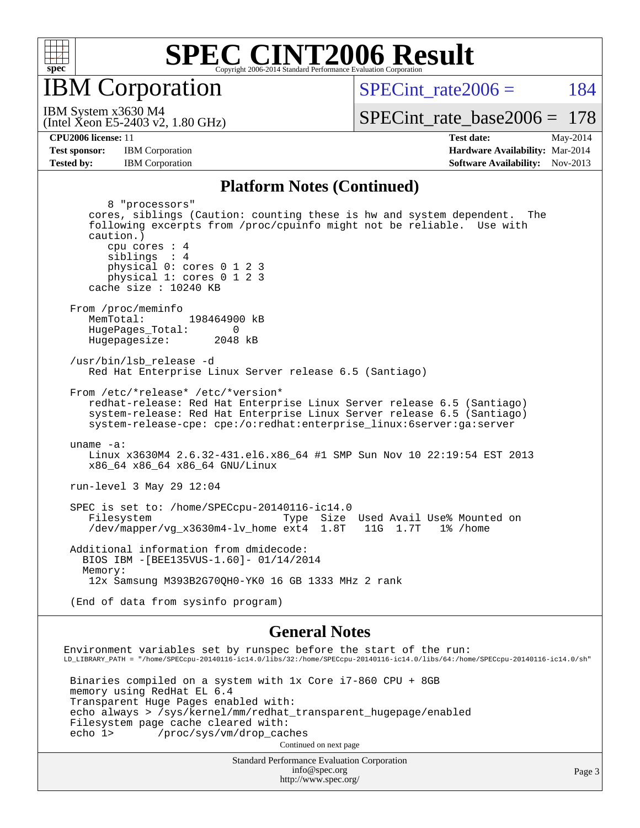

IBM Corporation

SPECint rate $2006 = 184$ 

(Intel Xeon E5-2403 v2, 1.80 GHz) IBM System x3630 M4

[SPECint\\_rate\\_base2006 =](http://www.spec.org/auto/cpu2006/Docs/result-fields.html#SPECintratebase2006) 178

**[CPU2006 license:](http://www.spec.org/auto/cpu2006/Docs/result-fields.html#CPU2006license)** 11 **[Test date:](http://www.spec.org/auto/cpu2006/Docs/result-fields.html#Testdate)** May-2014 **[Test sponsor:](http://www.spec.org/auto/cpu2006/Docs/result-fields.html#Testsponsor)** IBM Corporation **[Hardware Availability:](http://www.spec.org/auto/cpu2006/Docs/result-fields.html#HardwareAvailability)** Mar-2014 **[Tested by:](http://www.spec.org/auto/cpu2006/Docs/result-fields.html#Testedby)** IBM Corporation **[Software Availability:](http://www.spec.org/auto/cpu2006/Docs/result-fields.html#SoftwareAvailability)** Nov-2013

#### **[Platform Notes \(Continued\)](http://www.spec.org/auto/cpu2006/Docs/result-fields.html#PlatformNotes)**

 8 "processors" cores, siblings (Caution: counting these is hw and system dependent. The following excerpts from /proc/cpuinfo might not be reliable. Use with caution.) cpu cores : 4 siblings : 4 physical 0: cores 0 1 2 3 physical 1: cores 0 1 2 3 cache size : 10240 KB From /proc/meminfo MemTotal: 198464900 kB HugePages\_Total: 0<br>Hugepagesize: 2048 kB Hugepagesize: /usr/bin/lsb\_release -d Red Hat Enterprise Linux Server release 6.5 (Santiago) From /etc/\*release\* /etc/\*version\* redhat-release: Red Hat Enterprise Linux Server release 6.5 (Santiago) system-release: Red Hat Enterprise Linux Server release 6.5 (Santiago) system-release-cpe: cpe:/o:redhat:enterprise\_linux:6server:ga:server uname -a: Linux x3630M4 2.6.32-431.el6.x86\_64 #1 SMP Sun Nov 10 22:19:54 EST 2013 x86\_64 x86\_64 x86\_64 GNU/Linux run-level 3 May 29 12:04 SPEC is set to: /home/SPECcpu-20140116-ic14.0 Filesystem Type Size Used Avail Use% Mounted on<br>/dev/mapper/vg\_x3630m4-lv\_home ext4 1.8T 11G 1.7T 1% /home  $/$ dev/mapper/vg\_x3630m4-lv\_home ext4 Additional information from dmidecode: BIOS IBM -[BEE135VUS-1.60]- 01/14/2014 Memory: 12x Samsung M393B2G70QH0-YK0 16 GB 1333 MHz 2 rank (End of data from sysinfo program)

#### **[General Notes](http://www.spec.org/auto/cpu2006/Docs/result-fields.html#GeneralNotes)**

Environment variables set by runspec before the start of the run: LD\_LIBRARY\_PATH = "/home/SPECcpu-20140116-ic14.0/libs/32:/home/SPECcpu-20140116-ic14.0/libs/64:/home/SPECcpu-20140116-ic14.0/sh" Binaries compiled on a system with 1x Core i7-860 CPU + 8GB memory using RedHat EL 6.4 Transparent Huge Pages enabled with: echo always > /sys/kernel/mm/redhat\_transparent\_hugepage/enabled Filesystem page cache cleared with: echo 1> /proc/sys/vm/drop\_caches Continued on next page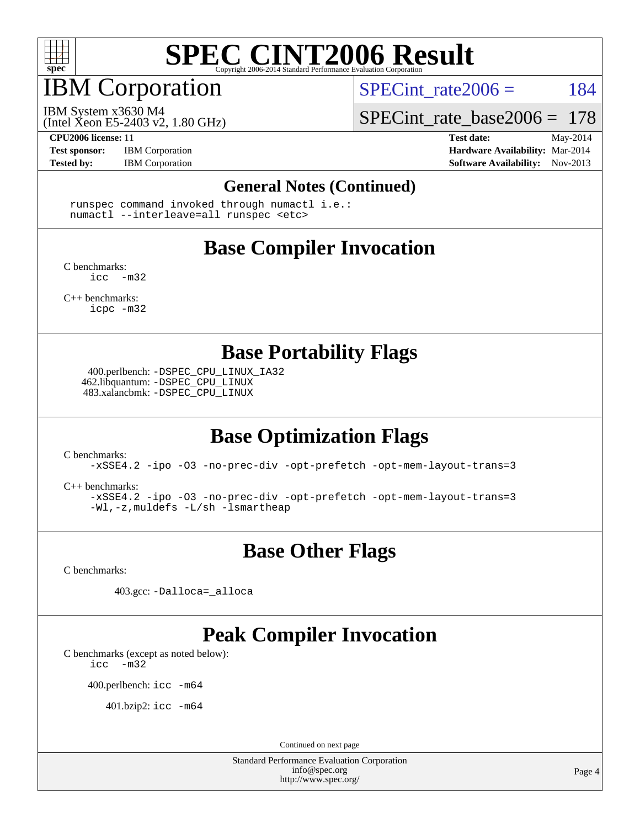

# IBM Corporation

SPECint rate $2006 = 184$ 

IBM System x3630 M4

(Intel Xeon E5-2403 v2, 1.80 GHz)

[SPECint\\_rate\\_base2006 =](http://www.spec.org/auto/cpu2006/Docs/result-fields.html#SPECintratebase2006) 178

**[CPU2006 license:](http://www.spec.org/auto/cpu2006/Docs/result-fields.html#CPU2006license)** 11 **[Test date:](http://www.spec.org/auto/cpu2006/Docs/result-fields.html#Testdate)** May-2014

**[Test sponsor:](http://www.spec.org/auto/cpu2006/Docs/result-fields.html#Testsponsor)** IBM Corporation **[Hardware Availability:](http://www.spec.org/auto/cpu2006/Docs/result-fields.html#HardwareAvailability)** Mar-2014

**[Tested by:](http://www.spec.org/auto/cpu2006/Docs/result-fields.html#Testedby)** IBM Corporation **IBM** Corporation **[Software Availability:](http://www.spec.org/auto/cpu2006/Docs/result-fields.html#SoftwareAvailability)** Nov-2013

#### **[General Notes \(Continued\)](http://www.spec.org/auto/cpu2006/Docs/result-fields.html#GeneralNotes)**

 runspec command invoked through numactl i.e.: numactl --interleave=all runspec <etc>

## **[Base Compiler Invocation](http://www.spec.org/auto/cpu2006/Docs/result-fields.html#BaseCompilerInvocation)**

[C benchmarks](http://www.spec.org/auto/cpu2006/Docs/result-fields.html#Cbenchmarks):  $inc -m32$ 

[C++ benchmarks:](http://www.spec.org/auto/cpu2006/Docs/result-fields.html#CXXbenchmarks) [icpc -m32](http://www.spec.org/cpu2006/results/res2014q3/cpu2006-20140604-29810.flags.html#user_CXXbase_intel_icpc_4e5a5ef1a53fd332b3c49e69c3330699)

**[Base Portability Flags](http://www.spec.org/auto/cpu2006/Docs/result-fields.html#BasePortabilityFlags)**

 400.perlbench: [-DSPEC\\_CPU\\_LINUX\\_IA32](http://www.spec.org/cpu2006/results/res2014q3/cpu2006-20140604-29810.flags.html#b400.perlbench_baseCPORTABILITY_DSPEC_CPU_LINUX_IA32) 462.libquantum: [-DSPEC\\_CPU\\_LINUX](http://www.spec.org/cpu2006/results/res2014q3/cpu2006-20140604-29810.flags.html#b462.libquantum_baseCPORTABILITY_DSPEC_CPU_LINUX) 483.xalancbmk: [-DSPEC\\_CPU\\_LINUX](http://www.spec.org/cpu2006/results/res2014q3/cpu2006-20140604-29810.flags.html#b483.xalancbmk_baseCXXPORTABILITY_DSPEC_CPU_LINUX)

### **[Base Optimization Flags](http://www.spec.org/auto/cpu2006/Docs/result-fields.html#BaseOptimizationFlags)**

[C benchmarks](http://www.spec.org/auto/cpu2006/Docs/result-fields.html#Cbenchmarks):

[-xSSE4.2](http://www.spec.org/cpu2006/results/res2014q3/cpu2006-20140604-29810.flags.html#user_CCbase_f-xSSE42_f91528193cf0b216347adb8b939d4107) [-ipo](http://www.spec.org/cpu2006/results/res2014q3/cpu2006-20140604-29810.flags.html#user_CCbase_f-ipo) [-O3](http://www.spec.org/cpu2006/results/res2014q3/cpu2006-20140604-29810.flags.html#user_CCbase_f-O3) [-no-prec-div](http://www.spec.org/cpu2006/results/res2014q3/cpu2006-20140604-29810.flags.html#user_CCbase_f-no-prec-div) [-opt-prefetch](http://www.spec.org/cpu2006/results/res2014q3/cpu2006-20140604-29810.flags.html#user_CCbase_f-opt-prefetch) [-opt-mem-layout-trans=3](http://www.spec.org/cpu2006/results/res2014q3/cpu2006-20140604-29810.flags.html#user_CCbase_f-opt-mem-layout-trans_a7b82ad4bd7abf52556d4961a2ae94d5)

[C++ benchmarks:](http://www.spec.org/auto/cpu2006/Docs/result-fields.html#CXXbenchmarks)

[-xSSE4.2](http://www.spec.org/cpu2006/results/res2014q3/cpu2006-20140604-29810.flags.html#user_CXXbase_f-xSSE42_f91528193cf0b216347adb8b939d4107) [-ipo](http://www.spec.org/cpu2006/results/res2014q3/cpu2006-20140604-29810.flags.html#user_CXXbase_f-ipo) [-O3](http://www.spec.org/cpu2006/results/res2014q3/cpu2006-20140604-29810.flags.html#user_CXXbase_f-O3) [-no-prec-div](http://www.spec.org/cpu2006/results/res2014q3/cpu2006-20140604-29810.flags.html#user_CXXbase_f-no-prec-div) [-opt-prefetch](http://www.spec.org/cpu2006/results/res2014q3/cpu2006-20140604-29810.flags.html#user_CXXbase_f-opt-prefetch) [-opt-mem-layout-trans=3](http://www.spec.org/cpu2006/results/res2014q3/cpu2006-20140604-29810.flags.html#user_CXXbase_f-opt-mem-layout-trans_a7b82ad4bd7abf52556d4961a2ae94d5) [-Wl,-z,muldefs](http://www.spec.org/cpu2006/results/res2014q3/cpu2006-20140604-29810.flags.html#user_CXXbase_link_force_multiple1_74079c344b956b9658436fd1b6dd3a8a) [-L/sh -lsmartheap](http://www.spec.org/cpu2006/results/res2014q3/cpu2006-20140604-29810.flags.html#user_CXXbase_SmartHeap_32f6c82aa1ed9c52345d30cf6e4a0499)

### **[Base Other Flags](http://www.spec.org/auto/cpu2006/Docs/result-fields.html#BaseOtherFlags)**

[C benchmarks](http://www.spec.org/auto/cpu2006/Docs/result-fields.html#Cbenchmarks):

403.gcc: [-Dalloca=\\_alloca](http://www.spec.org/cpu2006/results/res2014q3/cpu2006-20140604-29810.flags.html#b403.gcc_baseEXTRA_CFLAGS_Dalloca_be3056838c12de2578596ca5467af7f3)

## **[Peak Compiler Invocation](http://www.spec.org/auto/cpu2006/Docs/result-fields.html#PeakCompilerInvocation)**

[C benchmarks \(except as noted below\)](http://www.spec.org/auto/cpu2006/Docs/result-fields.html#Cbenchmarksexceptasnotedbelow):

[icc -m32](http://www.spec.org/cpu2006/results/res2014q3/cpu2006-20140604-29810.flags.html#user_CCpeak_intel_icc_5ff4a39e364c98233615fdd38438c6f2)

400.perlbench: [icc -m64](http://www.spec.org/cpu2006/results/res2014q3/cpu2006-20140604-29810.flags.html#user_peakCCLD400_perlbench_intel_icc_64bit_bda6cc9af1fdbb0edc3795bac97ada53)

401.bzip2: [icc -m64](http://www.spec.org/cpu2006/results/res2014q3/cpu2006-20140604-29810.flags.html#user_peakCCLD401_bzip2_intel_icc_64bit_bda6cc9af1fdbb0edc3795bac97ada53)

Continued on next page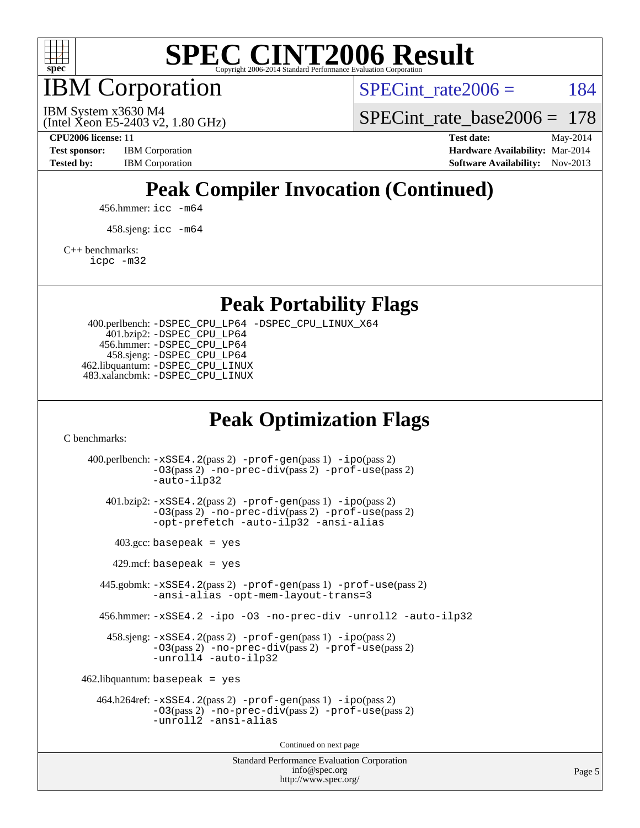

IBM Corporation

SPECint rate $2006 = 184$ 

(Intel Xeon E5-2403 v2, 1.80 GHz) IBM System x3630 M4

SPECint rate base  $2006 = 178$ 

**[CPU2006 license:](http://www.spec.org/auto/cpu2006/Docs/result-fields.html#CPU2006license)** 11 **[Test date:](http://www.spec.org/auto/cpu2006/Docs/result-fields.html#Testdate)** May-2014 **[Test sponsor:](http://www.spec.org/auto/cpu2006/Docs/result-fields.html#Testsponsor)** IBM Corporation **[Hardware Availability:](http://www.spec.org/auto/cpu2006/Docs/result-fields.html#HardwareAvailability)** Mar-2014 **[Tested by:](http://www.spec.org/auto/cpu2006/Docs/result-fields.html#Testedby)** IBM Corporation **IBM** Corporation **[Software Availability:](http://www.spec.org/auto/cpu2006/Docs/result-fields.html#SoftwareAvailability)** Nov-2013

## **[Peak Compiler Invocation \(Continued\)](http://www.spec.org/auto/cpu2006/Docs/result-fields.html#PeakCompilerInvocation)**

456.hmmer: [icc -m64](http://www.spec.org/cpu2006/results/res2014q3/cpu2006-20140604-29810.flags.html#user_peakCCLD456_hmmer_intel_icc_64bit_bda6cc9af1fdbb0edc3795bac97ada53)

458.sjeng: [icc -m64](http://www.spec.org/cpu2006/results/res2014q3/cpu2006-20140604-29810.flags.html#user_peakCCLD458_sjeng_intel_icc_64bit_bda6cc9af1fdbb0edc3795bac97ada53)

[C++ benchmarks:](http://www.spec.org/auto/cpu2006/Docs/result-fields.html#CXXbenchmarks)

[icpc -m32](http://www.spec.org/cpu2006/results/res2014q3/cpu2006-20140604-29810.flags.html#user_CXXpeak_intel_icpc_4e5a5ef1a53fd332b3c49e69c3330699)

**[Peak Portability Flags](http://www.spec.org/auto/cpu2006/Docs/result-fields.html#PeakPortabilityFlags)**

 400.perlbench: [-DSPEC\\_CPU\\_LP64](http://www.spec.org/cpu2006/results/res2014q3/cpu2006-20140604-29810.flags.html#b400.perlbench_peakCPORTABILITY_DSPEC_CPU_LP64) [-DSPEC\\_CPU\\_LINUX\\_X64](http://www.spec.org/cpu2006/results/res2014q3/cpu2006-20140604-29810.flags.html#b400.perlbench_peakCPORTABILITY_DSPEC_CPU_LINUX_X64) 401.bzip2: [-DSPEC\\_CPU\\_LP64](http://www.spec.org/cpu2006/results/res2014q3/cpu2006-20140604-29810.flags.html#suite_peakCPORTABILITY401_bzip2_DSPEC_CPU_LP64) 456.hmmer: [-DSPEC\\_CPU\\_LP64](http://www.spec.org/cpu2006/results/res2014q3/cpu2006-20140604-29810.flags.html#suite_peakCPORTABILITY456_hmmer_DSPEC_CPU_LP64) 458.sjeng: [-DSPEC\\_CPU\\_LP64](http://www.spec.org/cpu2006/results/res2014q3/cpu2006-20140604-29810.flags.html#suite_peakCPORTABILITY458_sjeng_DSPEC_CPU_LP64) 462.libquantum: [-DSPEC\\_CPU\\_LINUX](http://www.spec.org/cpu2006/results/res2014q3/cpu2006-20140604-29810.flags.html#b462.libquantum_peakCPORTABILITY_DSPEC_CPU_LINUX) 483.xalancbmk: [-DSPEC\\_CPU\\_LINUX](http://www.spec.org/cpu2006/results/res2014q3/cpu2006-20140604-29810.flags.html#b483.xalancbmk_peakCXXPORTABILITY_DSPEC_CPU_LINUX)

### **[Peak Optimization Flags](http://www.spec.org/auto/cpu2006/Docs/result-fields.html#PeakOptimizationFlags)**

[C benchmarks](http://www.spec.org/auto/cpu2006/Docs/result-fields.html#Cbenchmarks):

Standard Performance Evaluation Corporation 400.perlbench: [-xSSE4.2](http://www.spec.org/cpu2006/results/res2014q3/cpu2006-20140604-29810.flags.html#user_peakPASS2_CFLAGSPASS2_LDCFLAGS400_perlbench_f-xSSE42_f91528193cf0b216347adb8b939d4107)(pass 2) [-prof-gen](http://www.spec.org/cpu2006/results/res2014q3/cpu2006-20140604-29810.flags.html#user_peakPASS1_CFLAGSPASS1_LDCFLAGS400_perlbench_prof_gen_e43856698f6ca7b7e442dfd80e94a8fc)(pass 1) [-ipo](http://www.spec.org/cpu2006/results/res2014q3/cpu2006-20140604-29810.flags.html#user_peakPASS2_CFLAGSPASS2_LDCFLAGS400_perlbench_f-ipo)(pass 2) [-O3](http://www.spec.org/cpu2006/results/res2014q3/cpu2006-20140604-29810.flags.html#user_peakPASS2_CFLAGSPASS2_LDCFLAGS400_perlbench_f-O3)(pass 2) [-no-prec-div](http://www.spec.org/cpu2006/results/res2014q3/cpu2006-20140604-29810.flags.html#user_peakPASS2_CFLAGSPASS2_LDCFLAGS400_perlbench_f-no-prec-div)(pass 2) [-prof-use](http://www.spec.org/cpu2006/results/res2014q3/cpu2006-20140604-29810.flags.html#user_peakPASS2_CFLAGSPASS2_LDCFLAGS400_perlbench_prof_use_bccf7792157ff70d64e32fe3e1250b55)(pass 2) [-auto-ilp32](http://www.spec.org/cpu2006/results/res2014q3/cpu2006-20140604-29810.flags.html#user_peakCOPTIMIZE400_perlbench_f-auto-ilp32) 401.bzip2: [-xSSE4.2](http://www.spec.org/cpu2006/results/res2014q3/cpu2006-20140604-29810.flags.html#user_peakPASS2_CFLAGSPASS2_LDCFLAGS401_bzip2_f-xSSE42_f91528193cf0b216347adb8b939d4107)(pass 2) [-prof-gen](http://www.spec.org/cpu2006/results/res2014q3/cpu2006-20140604-29810.flags.html#user_peakPASS1_CFLAGSPASS1_LDCFLAGS401_bzip2_prof_gen_e43856698f6ca7b7e442dfd80e94a8fc)(pass 1) [-ipo](http://www.spec.org/cpu2006/results/res2014q3/cpu2006-20140604-29810.flags.html#user_peakPASS2_CFLAGSPASS2_LDCFLAGS401_bzip2_f-ipo)(pass 2) [-O3](http://www.spec.org/cpu2006/results/res2014q3/cpu2006-20140604-29810.flags.html#user_peakPASS2_CFLAGSPASS2_LDCFLAGS401_bzip2_f-O3)(pass 2) [-no-prec-div](http://www.spec.org/cpu2006/results/res2014q3/cpu2006-20140604-29810.flags.html#user_peakPASS2_CFLAGSPASS2_LDCFLAGS401_bzip2_f-no-prec-div)(pass 2) [-prof-use](http://www.spec.org/cpu2006/results/res2014q3/cpu2006-20140604-29810.flags.html#user_peakPASS2_CFLAGSPASS2_LDCFLAGS401_bzip2_prof_use_bccf7792157ff70d64e32fe3e1250b55)(pass 2) [-opt-prefetch](http://www.spec.org/cpu2006/results/res2014q3/cpu2006-20140604-29810.flags.html#user_peakCOPTIMIZE401_bzip2_f-opt-prefetch) [-auto-ilp32](http://www.spec.org/cpu2006/results/res2014q3/cpu2006-20140604-29810.flags.html#user_peakCOPTIMIZE401_bzip2_f-auto-ilp32) [-ansi-alias](http://www.spec.org/cpu2006/results/res2014q3/cpu2006-20140604-29810.flags.html#user_peakCOPTIMIZE401_bzip2_f-ansi-alias)  $403.\text{gcc: basepeak}$  = yes  $429$ .mcf: basepeak = yes 445.gobmk: [-xSSE4.2](http://www.spec.org/cpu2006/results/res2014q3/cpu2006-20140604-29810.flags.html#user_peakPASS2_CFLAGSPASS2_LDCFLAGS445_gobmk_f-xSSE42_f91528193cf0b216347adb8b939d4107)(pass 2) [-prof-gen](http://www.spec.org/cpu2006/results/res2014q3/cpu2006-20140604-29810.flags.html#user_peakPASS1_CFLAGSPASS1_LDCFLAGS445_gobmk_prof_gen_e43856698f6ca7b7e442dfd80e94a8fc)(pass 1) [-prof-use](http://www.spec.org/cpu2006/results/res2014q3/cpu2006-20140604-29810.flags.html#user_peakPASS2_CFLAGSPASS2_LDCFLAGS445_gobmk_prof_use_bccf7792157ff70d64e32fe3e1250b55)(pass 2) [-ansi-alias](http://www.spec.org/cpu2006/results/res2014q3/cpu2006-20140604-29810.flags.html#user_peakCOPTIMIZE445_gobmk_f-ansi-alias) [-opt-mem-layout-trans=3](http://www.spec.org/cpu2006/results/res2014q3/cpu2006-20140604-29810.flags.html#user_peakCOPTIMIZE445_gobmk_f-opt-mem-layout-trans_a7b82ad4bd7abf52556d4961a2ae94d5) 456.hmmer: [-xSSE4.2](http://www.spec.org/cpu2006/results/res2014q3/cpu2006-20140604-29810.flags.html#user_peakCOPTIMIZE456_hmmer_f-xSSE42_f91528193cf0b216347adb8b939d4107) [-ipo](http://www.spec.org/cpu2006/results/res2014q3/cpu2006-20140604-29810.flags.html#user_peakCOPTIMIZE456_hmmer_f-ipo) [-O3](http://www.spec.org/cpu2006/results/res2014q3/cpu2006-20140604-29810.flags.html#user_peakCOPTIMIZE456_hmmer_f-O3) [-no-prec-div](http://www.spec.org/cpu2006/results/res2014q3/cpu2006-20140604-29810.flags.html#user_peakCOPTIMIZE456_hmmer_f-no-prec-div) [-unroll2](http://www.spec.org/cpu2006/results/res2014q3/cpu2006-20140604-29810.flags.html#user_peakCOPTIMIZE456_hmmer_f-unroll_784dae83bebfb236979b41d2422d7ec2) [-auto-ilp32](http://www.spec.org/cpu2006/results/res2014q3/cpu2006-20140604-29810.flags.html#user_peakCOPTIMIZE456_hmmer_f-auto-ilp32) 458.sjeng: [-xSSE4.2](http://www.spec.org/cpu2006/results/res2014q3/cpu2006-20140604-29810.flags.html#user_peakPASS2_CFLAGSPASS2_LDCFLAGS458_sjeng_f-xSSE42_f91528193cf0b216347adb8b939d4107)(pass 2) [-prof-gen](http://www.spec.org/cpu2006/results/res2014q3/cpu2006-20140604-29810.flags.html#user_peakPASS1_CFLAGSPASS1_LDCFLAGS458_sjeng_prof_gen_e43856698f6ca7b7e442dfd80e94a8fc)(pass 1) [-ipo](http://www.spec.org/cpu2006/results/res2014q3/cpu2006-20140604-29810.flags.html#user_peakPASS2_CFLAGSPASS2_LDCFLAGS458_sjeng_f-ipo)(pass 2) [-O3](http://www.spec.org/cpu2006/results/res2014q3/cpu2006-20140604-29810.flags.html#user_peakPASS2_CFLAGSPASS2_LDCFLAGS458_sjeng_f-O3)(pass 2) [-no-prec-div](http://www.spec.org/cpu2006/results/res2014q3/cpu2006-20140604-29810.flags.html#user_peakPASS2_CFLAGSPASS2_LDCFLAGS458_sjeng_f-no-prec-div)(pass 2) [-prof-use](http://www.spec.org/cpu2006/results/res2014q3/cpu2006-20140604-29810.flags.html#user_peakPASS2_CFLAGSPASS2_LDCFLAGS458_sjeng_prof_use_bccf7792157ff70d64e32fe3e1250b55)(pass 2) [-unroll4](http://www.spec.org/cpu2006/results/res2014q3/cpu2006-20140604-29810.flags.html#user_peakCOPTIMIZE458_sjeng_f-unroll_4e5e4ed65b7fd20bdcd365bec371b81f) [-auto-ilp32](http://www.spec.org/cpu2006/results/res2014q3/cpu2006-20140604-29810.flags.html#user_peakCOPTIMIZE458_sjeng_f-auto-ilp32)  $462$ .libquantum: basepeak = yes 464.h264ref: [-xSSE4.2](http://www.spec.org/cpu2006/results/res2014q3/cpu2006-20140604-29810.flags.html#user_peakPASS2_CFLAGSPASS2_LDCFLAGS464_h264ref_f-xSSE42_f91528193cf0b216347adb8b939d4107)(pass 2) [-prof-gen](http://www.spec.org/cpu2006/results/res2014q3/cpu2006-20140604-29810.flags.html#user_peakPASS1_CFLAGSPASS1_LDCFLAGS464_h264ref_prof_gen_e43856698f6ca7b7e442dfd80e94a8fc)(pass 1) [-ipo](http://www.spec.org/cpu2006/results/res2014q3/cpu2006-20140604-29810.flags.html#user_peakPASS2_CFLAGSPASS2_LDCFLAGS464_h264ref_f-ipo)(pass 2) [-O3](http://www.spec.org/cpu2006/results/res2014q3/cpu2006-20140604-29810.flags.html#user_peakPASS2_CFLAGSPASS2_LDCFLAGS464_h264ref_f-O3)(pass 2) [-no-prec-div](http://www.spec.org/cpu2006/results/res2014q3/cpu2006-20140604-29810.flags.html#user_peakPASS2_CFLAGSPASS2_LDCFLAGS464_h264ref_f-no-prec-div)(pass 2) [-prof-use](http://www.spec.org/cpu2006/results/res2014q3/cpu2006-20140604-29810.flags.html#user_peakPASS2_CFLAGSPASS2_LDCFLAGS464_h264ref_prof_use_bccf7792157ff70d64e32fe3e1250b55)(pass 2) [-unroll2](http://www.spec.org/cpu2006/results/res2014q3/cpu2006-20140604-29810.flags.html#user_peakCOPTIMIZE464_h264ref_f-unroll_784dae83bebfb236979b41d2422d7ec2) [-ansi-alias](http://www.spec.org/cpu2006/results/res2014q3/cpu2006-20140604-29810.flags.html#user_peakCOPTIMIZE464_h264ref_f-ansi-alias) Continued on next page

[info@spec.org](mailto:info@spec.org) <http://www.spec.org/>